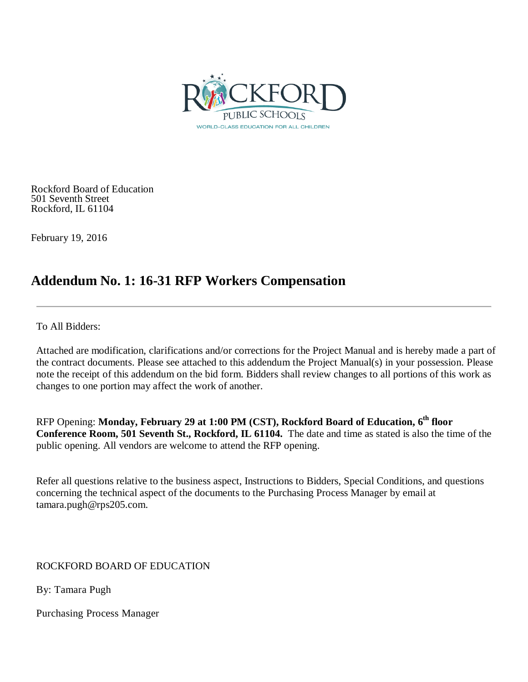

Rockford Board of Education 501 Seventh Street Rockford, IL 61104

February 19, 2016

# **Addendum No. 1: 16-31 RFP Workers Compensation**

To All Bidders:

Attached are modification, clarifications and/or corrections for the Project Manual and is hereby made a part of the contract documents. Please see attached to this addendum the Project Manual(s) in your possession. Please note the receipt of this addendum on the bid form. Bidders shall review changes to all portions of this work as changes to one portion may affect the work of another.

RFP Opening: **Monday, February 29 at 1:00 PM (CST), Rockford Board of Education, 6th floor Conference Room, 501 Seventh St., Rockford, IL 61104.** The date and time as stated is also the time of the public opening. All vendors are welcome to attend the RFP opening.

Refer all questions relative to the business aspect, Instructions to Bidders, Special Conditions, and questions concerning the technical aspect of the documents to the Purchasing Process Manager by email at tamara.pugh@rps205.com.

ROCKFORD BOARD OF EDUCATION

By: Tamara Pugh

Purchasing Process Manager